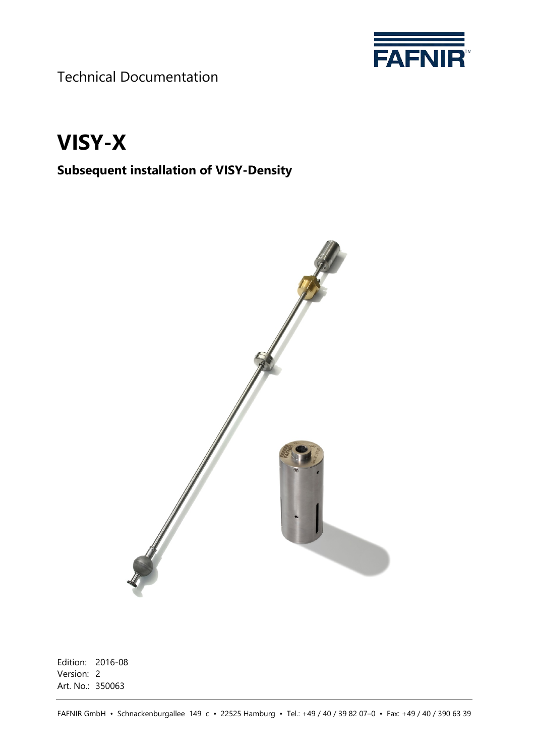

Technical Documentation

**VISY-X**

### **Subsequent installation of VISY-Density**



Edition: 2016-08 Version: 2 Art. No.: 350063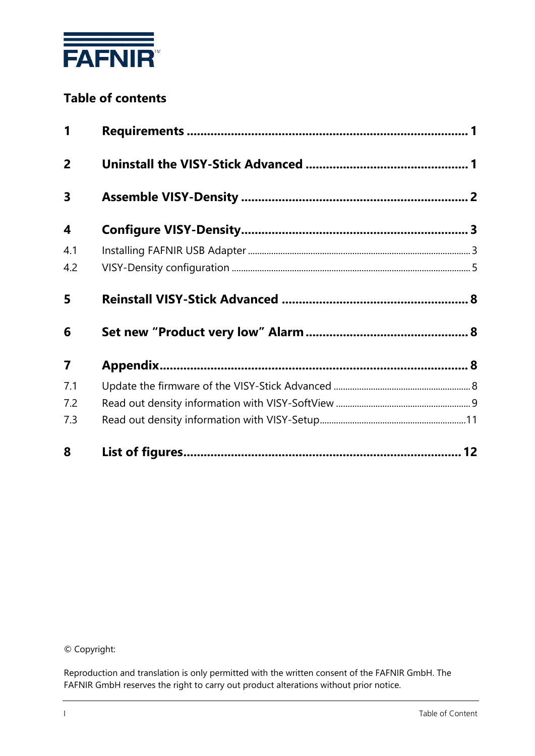

### **Table of contents**

| 1              |  |  |  |
|----------------|--|--|--|
| $\overline{2}$ |  |  |  |
| 3              |  |  |  |
| 4              |  |  |  |
| 4.1            |  |  |  |
| 4.2            |  |  |  |
| 5              |  |  |  |
| 6              |  |  |  |
| $\overline{7}$ |  |  |  |
| 7.1            |  |  |  |
| 7.2            |  |  |  |
| 7.3            |  |  |  |
| 8              |  |  |  |

© Copyright:

Reproduction and translation is only permitted with the written consent of the FAFNIR GmbH. The FAFNIR GmbH reserves the right to carry out product alterations without prior notice.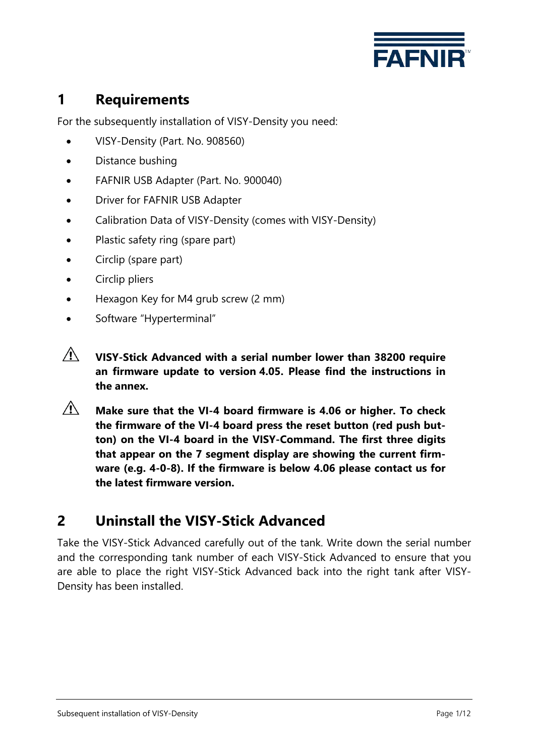

# <span id="page-2-0"></span>**1 Requirements**

For the subsequently installation of VISY-Density you need:

- VISY-Density (Part. No. 908560)
- Distance bushing
- FAFNIR USB Adapter (Part. No. 900040)
- Driver for FAFNIR USB Adapter
- Calibration Data of VISY-Density (comes with VISY-Density)
- Plastic safety ring (spare part)
- Circlip (spare part)
- Circlip pliers
- Hexagon Key for M4 grub screw (2 mm)
- Software "Hyperterminal"
- $\bigwedge$ **VISY-Stick Advanced with a serial number lower than 38200 require an firmware update to version 4.05. Please find the instructions in the annex.**
- $\bigwedge$ **Make sure that the VI-4 board firmware is 4.06 or higher. To check the firmware of the VI-4 board press the reset button (red push button) on the VI-4 board in the VISY-Command. The first three digits that appear on the 7 segment display are showing the current firmware (e.g. 4-0-8). If the firmware is below 4.06 please contact us for the latest firmware version.**

# <span id="page-2-1"></span>**2 Uninstall the VISY-Stick Advanced**

Take the VISY-Stick Advanced carefully out of the tank. Write down the serial number and the corresponding tank number of each VISY-Stick Advanced to ensure that you are able to place the right VISY-Stick Advanced back into the right tank after VISY-Density has been installed.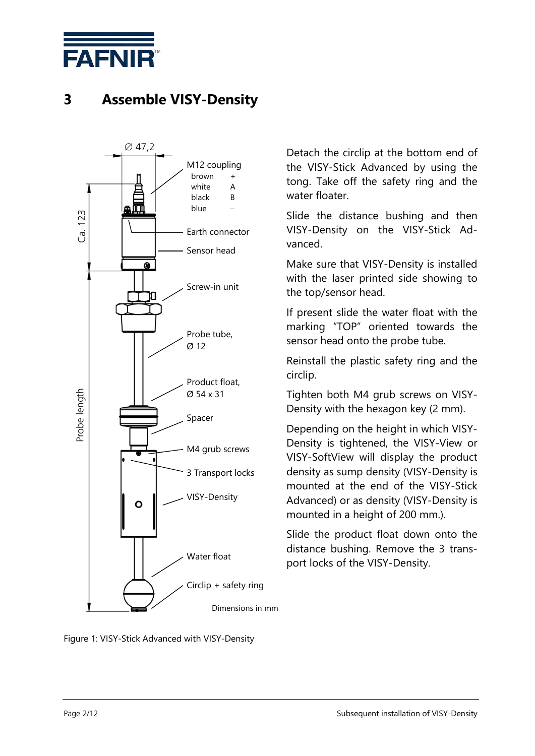

# <span id="page-3-0"></span>**3 Assemble VISY-Density**



Detach the circlip at the bottom end of the VISY-Stick Advanced by using the tong. Take off the safety ring and the water floater.

Slide the distance bushing and then VISY-Density on the VISY-Stick Advanced.

Make sure that VISY-Density is installed with the laser printed side showing to the top/sensor head.

If present slide the water float with the marking "TOP" oriented towards the sensor head onto the probe tube.

Reinstall the plastic safety ring and the circlip.

Tighten both M4 grub screws on VISY-Density with the hexagon key (2 mm).

Depending on the height in which VISY-Density is tightened, the VISY-View or VISY-SoftView will display the product density as sump density (VISY-Density is mounted at the end of the VISY-Stick Advanced) or as density (VISY-Density is mounted in a height of 200 mm.).

Slide the product float down onto the distance bushing. Remove the 3 transport locks of the VISY-Density.

<span id="page-3-1"></span>Figure 1: VISY-Stick Advanced with VISY-Density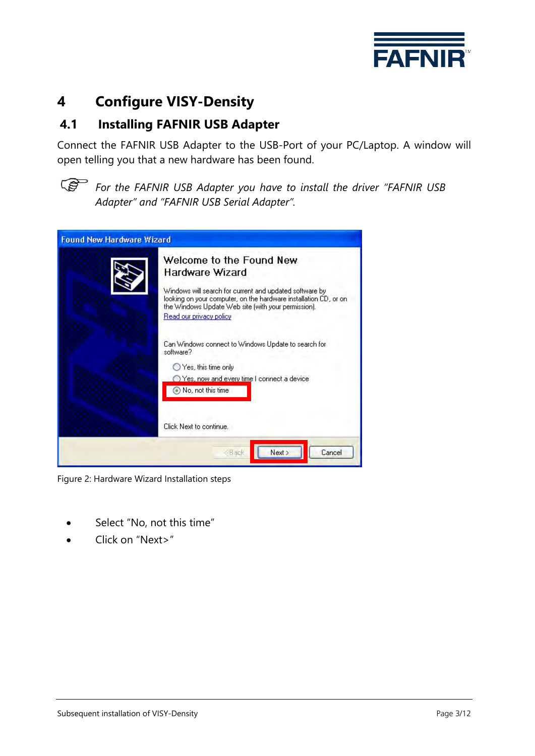

# <span id="page-4-0"></span>**4 Configure VISY-Density**

### <span id="page-4-1"></span>**4.1 Installing FAFNIR USB Adapter**

Connect the FAFNIR USB Adapter to the USB-Port of your PC/Laptop. A window will open telling you that a new hardware has been found.



*For the FAFNIR USB Adapter you have to install the driver "FAFNIR USB Adapter" and "FAFNIR USB Serial Adapter".*



Figure 2: Hardware Wizard Installation steps

- <span id="page-4-2"></span>Select "No, not this time"
- Click on "Next>"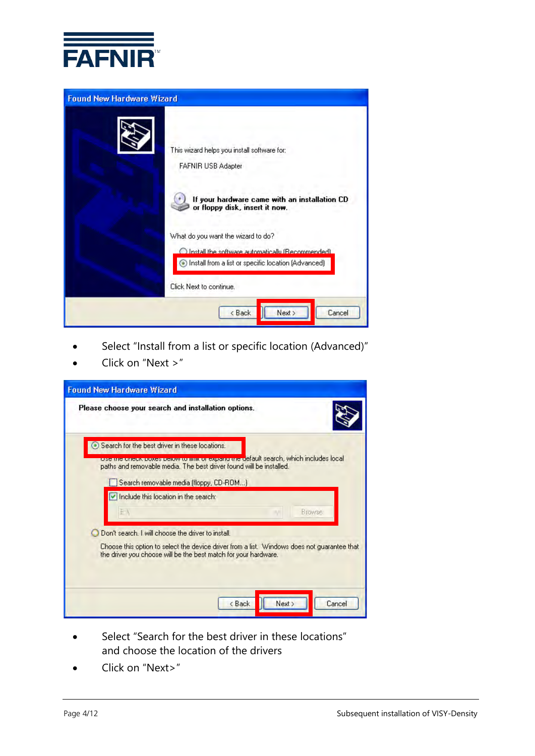



- Select "Install from a list or specific location (Advanced)"
- Click on "Next >"

| <b>Found New Hardware Wizard</b>                                                                                                                                                                                                                          |
|-----------------------------------------------------------------------------------------------------------------------------------------------------------------------------------------------------------------------------------------------------------|
| Please choose your search and installation options.                                                                                                                                                                                                       |
| Search for the best driver in these locations.<br>Use the check boxes below to limit or expand the default search, which includes local<br>paths and removable media. The best driver found will be installed.<br>Search removable media (floppy, CD-ROM) |
| $\vee$ Include this location in the search:<br>F-)<br><b>Browse</b><br>O Don't search. I will choose the driver to install.                                                                                                                               |
| Choose this option to select the device driver from a list. Windows does not quarantee that<br>the driver you choose will be the best match for your hardware.                                                                                            |
| < Back<br>Next ><br>Cancel                                                                                                                                                                                                                                |

- Select "Search for the best driver in these locations" and choose the location of the drivers
- Click on "Next>"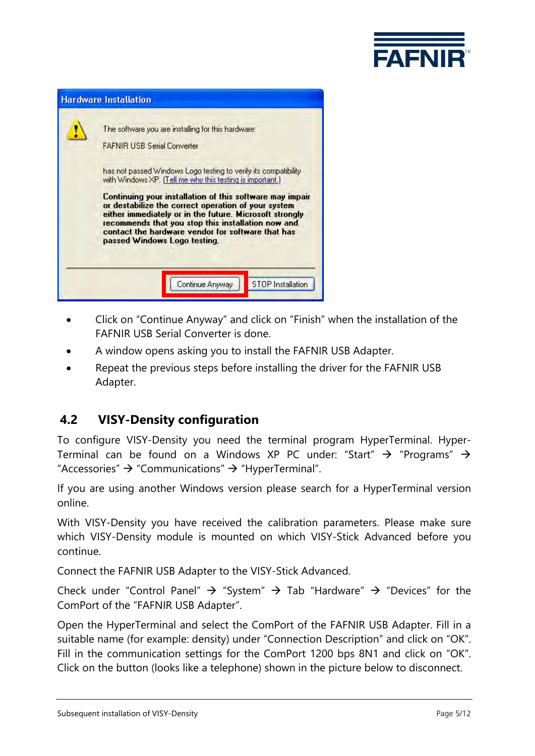

| The software you are installing for this hardware:                                                                                                                                                                                                                                                                    |
|-----------------------------------------------------------------------------------------------------------------------------------------------------------------------------------------------------------------------------------------------------------------------------------------------------------------------|
| <b>FAFNIR USB Serial Converter</b>                                                                                                                                                                                                                                                                                    |
| has not passed Windows Logo testing to verify its compatibility<br>with Windows XP. [Tell me why this testing is important.]                                                                                                                                                                                          |
| Continuing your installation of this software may impair<br>or destabilize the correct operation of your system<br>either immediately or in the future. Microsoft strongly<br>recommends that you stop this installation now and<br>contact the hardware vendor for software that has<br>passed Windows Logo testing. |

- Click on "Continue Anyway" and click on "Finish" when the installation of the FAFNIR USB Serial Converter is done.
- A window opens asking you to install the FAFNIR USB Adapter.
- Repeat the previous steps before installing the driver for the FAFNIR USB Adapter.

### <span id="page-6-0"></span>**4.2 VISY-Density configuration**

To configure VISY-Density you need the terminal program HyperTerminal. Hyper-Terminal can be found on a Windows XP PC under: "Start"  $\rightarrow$  "Programs"  $\rightarrow$ "Accessories"  $\rightarrow$  "Communications"  $\rightarrow$  "HyperTerminal".

If you are using another Windows version please search for a HyperTerminal version online.

With VISY-Density you have received the calibration parameters. Please make sure which VISY-Density module is mounted on which VISY-Stick Advanced before you continue.

Connect the FAFNIR USB Adapter to the VISY-Stick Advanced.

Check under "Control Panel"  $\rightarrow$  "System"  $\rightarrow$  Tab "Hardware"  $\rightarrow$  "Devices" for the ComPort of the "FAFNIR USB Adapter".

Open the HyperTerminal and select the ComPort of the FAFNIR USB Adapter. Fill in a suitable name (for example: density) under "Connection Description" and click on "OK". Fill in the communication settings for the ComPort 1200 bps 8N1 and click on "OK". Click on the button (looks like a telephone) shown in the picture below to disconnect.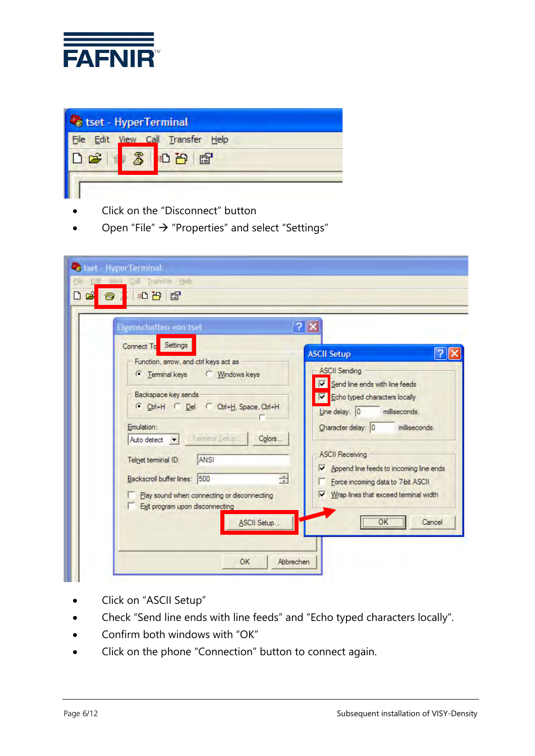

| tset - HyperTerminal |            |                              |  |  |
|----------------------|------------|------------------------------|--|--|
|                      |            | Edit View Call Transfer Help |  |  |
| $\vert$<br>ا نشر ا   | $\sqrt{3}$ | DDE                          |  |  |
|                      |            |                              |  |  |

- Click on the "Disconnect" button
- Open "File"  $\rightarrow$  "Properties" and select "Settings"



- Click on "ASCII Setup"
- Check "Send line ends with line feeds" and "Echo typed characters locally".
- Confirm both windows with "OK"
- Click on the phone "Connection" button to connect again.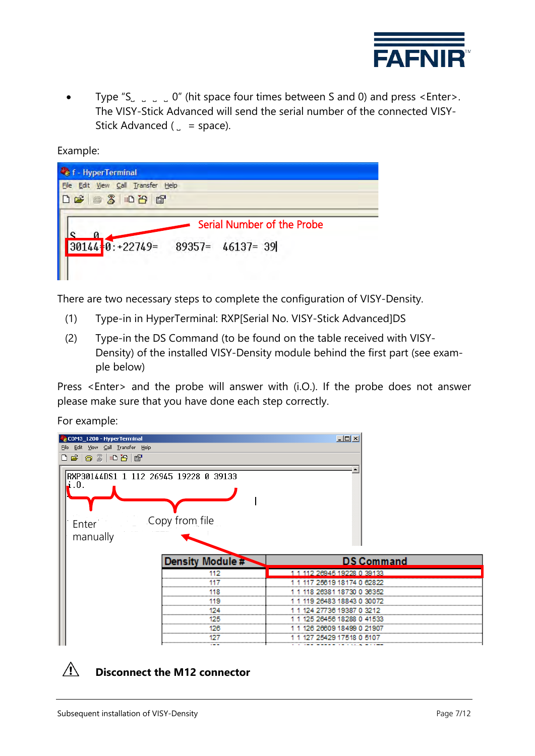

• Type "S␣ ␣ ␣ ␣ 0" (hit space four times between S and 0) and press <Enter>. The VISY-Stick Advanced will send the serial number of the connected VISY-Stick Advanced ( $\Box$  = space).

Example:



There are two necessary steps to complete the configuration of VISY-Density.

- (1) Type-in in HyperTerminal: RXP[Serial No. VISY-Stick Advanced]DS
- (2) Type-in the DS Command (to be found on the table received with VISY-Density) of the installed VISY-Density module behind the first part (see example below)

Press <Enter> and the probe will answer with (i.O.). If the probe does not answer please make sure that you have done each step correctly.

For example:

| COM3_1200 - HyperTerminal                                                          |                  | $ \Box$ $\times$            |  |
|------------------------------------------------------------------------------------|------------------|-----------------------------|--|
| Edit View Call Transfer Help                                                       |                  |                             |  |
| $\bigcap$ $\bigoplus$ $\bigotimes$ $\bigoplus$ $\bigoplus$ $\bigoplus$ $\bigoplus$ |                  |                             |  |
| RXP30144DS1 1 112 26945 19228 0 39133<br>0<br>Enter<br>manually                    | Copy from file   |                             |  |
|                                                                                    | Density Module # | <b>DS Command</b>           |  |
|                                                                                    |                  | 1 1 112 26945 19228 0 39133 |  |
|                                                                                    |                  | 117 25619 18174 0 62822     |  |
|                                                                                    |                  | 118 26381 18730 0 36352     |  |
|                                                                                    |                  | 119 26483 18843 0 30072     |  |
|                                                                                    |                  | 124 27736 19387 0 3212      |  |
|                                                                                    | 125              | 125 26456 18288 0 41533     |  |
|                                                                                    |                  | 126 26609 18499 0 21907     |  |
|                                                                                    |                  |                             |  |
|                                                                                    |                  |                             |  |



#### **Disconnect the M12 connector**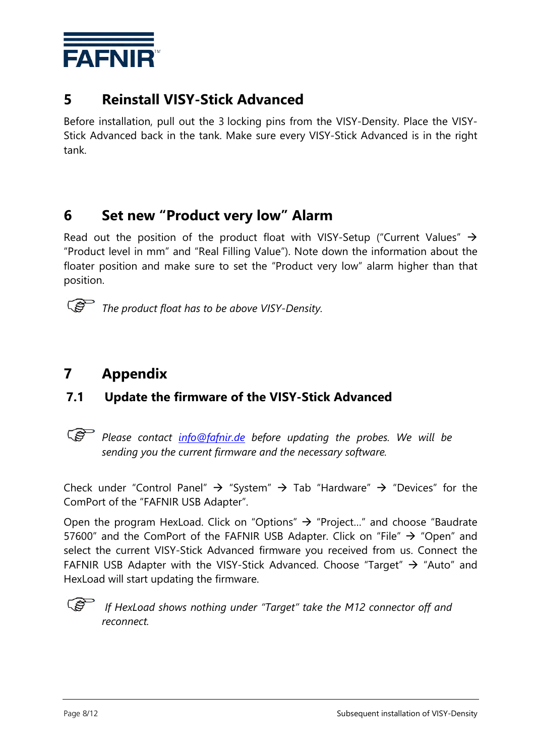

# <span id="page-9-0"></span>**5 Reinstall VISY-Stick Advanced**

Before installation, pull out the 3 locking pins from the VISY-Density. Place the VISY-Stick Advanced back in the tank. Make sure every VISY-Stick Advanced is in the right tank.

# <span id="page-9-1"></span>**6 Set new "Product very low" Alarm**

Read out the position of the product float with VISY-Setup ("Current Values"  $\rightarrow$ "Product level in mm" and "Real Filling Value"). Note down the information about the floater position and make sure to set the "Product very low" alarm higher than that position.



# <span id="page-9-2"></span>**7 Appendix**

### <span id="page-9-3"></span>**7.1 Update the firmware of the VISY-Stick Advanced**



*Please contact [info@fafnir.de](mailto:info@fafnir.de) before updating the probes. We will be sending you the current firmware and the necessary software.*

Check under "Control Panel"  $\rightarrow$  "System"  $\rightarrow$  Tab "Hardware"  $\rightarrow$  "Devices" for the ComPort of the "FAFNIR USB Adapter".

Open the program HexLoad. Click on "Options"  $\rightarrow$  "Project..." and choose "Baudrate 57600" and the ComPort of the FAFNIR USB Adapter. Click on "File"  $\rightarrow$  "Open" and select the current VISY-Stick Advanced firmware you received from us. Connect the FAFNIR USB Adapter with the VISY-Stick Advanced. Choose "Target"  $\rightarrow$  "Auto" and HexLoad will start updating the firmware.



*If HexLoad shows nothing under "Target" take the M12 connector off and reconnect.*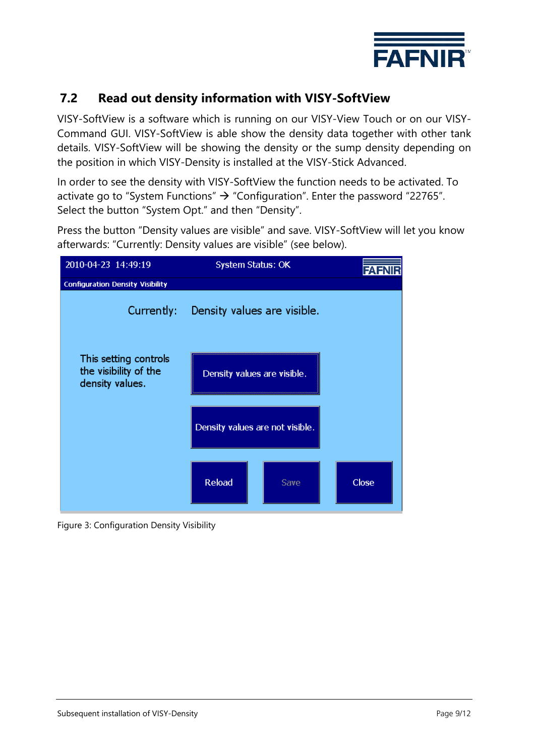

### <span id="page-10-0"></span>**7.2 Read out density information with VISY-SoftView**

VISY-SoftView is a software which is running on our VISY-View Touch or on our VISY-Command GUI. VISY-SoftView is able show the density data together with other tank details. VISY-SoftView will be showing the density or the sump density depending on the position in which VISY-Density is installed at the VISY-Stick Advanced.

In order to see the density with VISY-SoftView the function needs to be activated. To activate go to "System Functions"  $\rightarrow$  "Configuration". Enter the password "22765". Select the button "System Opt." and then "Density".

Press the button "Density values are visible" and save. VISY-SoftView will let you know afterwards: "Currently: Density values are visible" (see below).

<span id="page-10-1"></span>

Figure 3: Configuration Density Visibility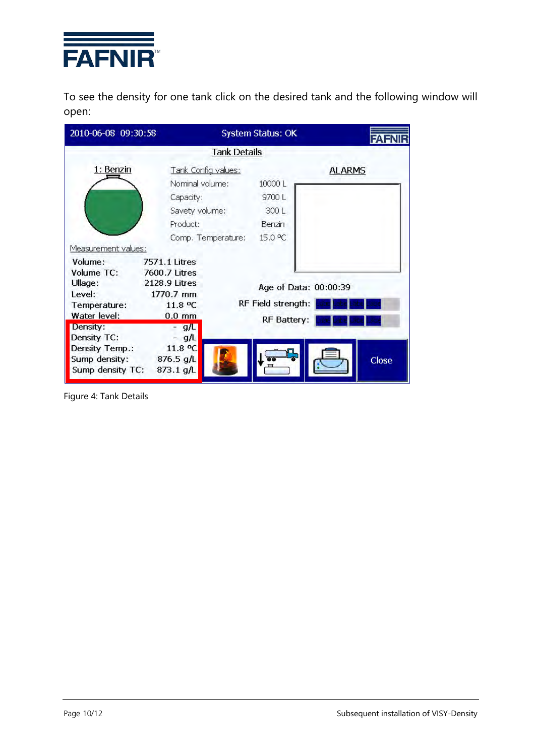

To see the density for one tank click on the desired tank and the following window will open:

| 2010-06-08 09:30:58                                                            |                                                                                     | System Status: OK                                          | <b>FAFNIR</b> |
|--------------------------------------------------------------------------------|-------------------------------------------------------------------------------------|------------------------------------------------------------|---------------|
|                                                                                |                                                                                     | <b>Tank Details</b>                                        |               |
| 1: Benzin                                                                      | Tank Config values:                                                                 |                                                            | <b>ALARMS</b> |
|                                                                                | Nominal volume:                                                                     | 10000L                                                     |               |
|                                                                                | Capacity:                                                                           | 9700L                                                      |               |
|                                                                                | Savety volume:                                                                      | 300L                                                       |               |
|                                                                                | Product:                                                                            | Benzin                                                     |               |
|                                                                                | Comp. Temperature:                                                                  | 15.0 °C                                                    |               |
| Measurement values:                                                            |                                                                                     |                                                            |               |
| Volume:<br>Volume TC:<br>Ullage:<br>Level:<br>Temperature:<br>Water level:     | 7571.1 Litres<br>7600.7 Litres<br>2128.9 Litres<br>1770.7 mm<br>11.8 °C<br>$0.0$ mm | Age of Data: 00:00:39<br>RF Field strength:<br>RF Battery: |               |
| Density:<br>Density TC:<br>Density Temp.:<br>Sump density:<br>Sump density TC: | g/L<br>- $g/L$<br>11.8 °C<br>$876.5$ g/L<br>$873.1$ g/L                             |                                                            | Close         |

<span id="page-11-0"></span>Figure 4: Tank Details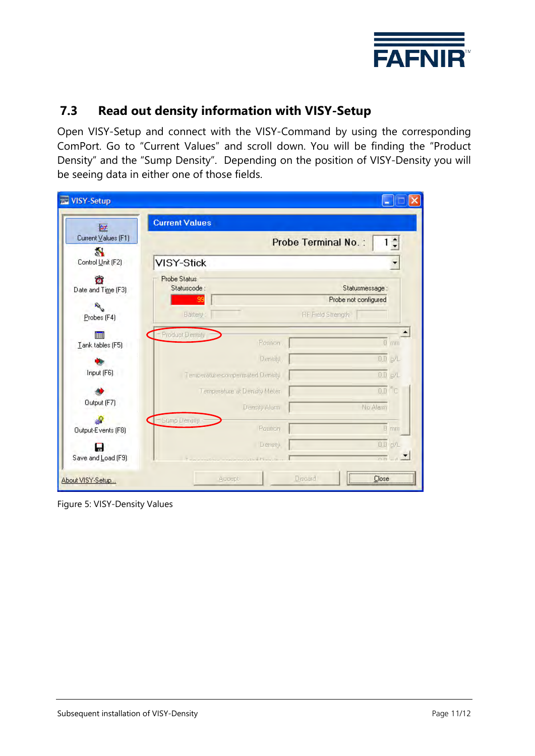

### <span id="page-12-0"></span>**7.3 Read out density information with VISY-Setup**

Open VISY-Setup and connect with the VISY-Command by using the corresponding ComPort. Go to "Current Values" and scroll down. You will be finding the "Product Density" and the "Sump Density". Depending on the position of VISY-Density you will be seeing data in either one of those fields.

| <b>bot</b>                          | <b>Current Values</b>              |                                                  |                |
|-------------------------------------|------------------------------------|--------------------------------------------------|----------------|
| Current Values (F1)<br>$\mathbf{N}$ | $\div$<br>Probe Terminal No.:      |                                                  |                |
| Control Unit (F2)                   | VISY-Stick                         |                                                  |                |
| $\bullet$<br>Date and Time (F3)     | <b>Probe Status</b><br>Statuscode: | Statusmessage:                                   |                |
| Probes (F4)                         | 99<br>Battery:                     | Probe not configured<br><b>RF Field Strength</b> |                |
| Tank tables (F5)                    | - Product Density                  | Position.                                        | $0 \text{ mm}$ |
|                                     |                                    | Density                                          | 0.0 g/L        |
| Input (F6)                          | Temperature-compensated Density    |                                                  | 0.0 g/L        |
|                                     | Temperature at Density Meter       |                                                  | $0.0o$ C       |
| Output (F7)                         | Density Alarm                      | No Alarm                                         |                |
| Output-Events (F8)                  | - Sump Density                     | Position.                                        | $0 \text{ mm}$ |
|                                     |                                    | Densitu                                          | 0.0 g/L        |
| Save and Load (F9)                  | and a lot of Figure 10.            |                                                  |                |

<span id="page-12-1"></span>Figure 5: VISY-Density Values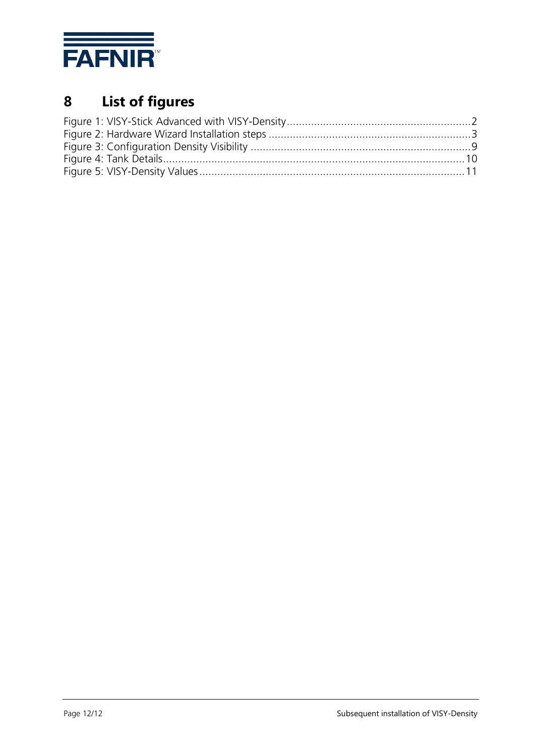

# <span id="page-13-0"></span>**8 List of figures**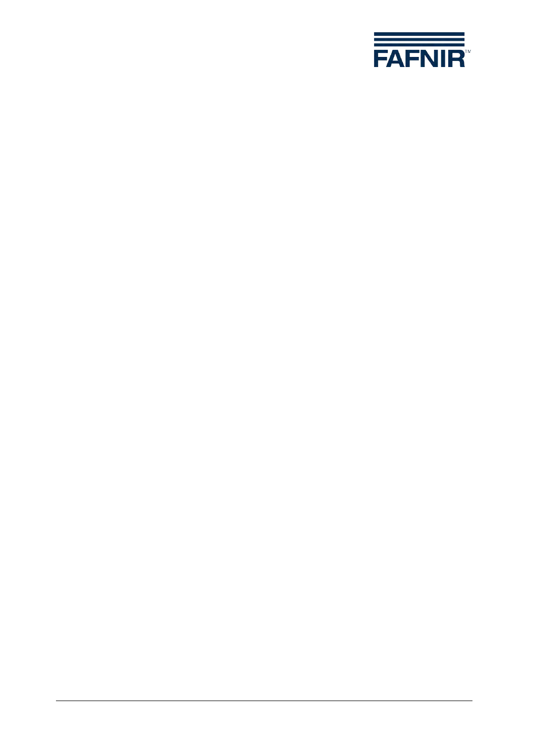